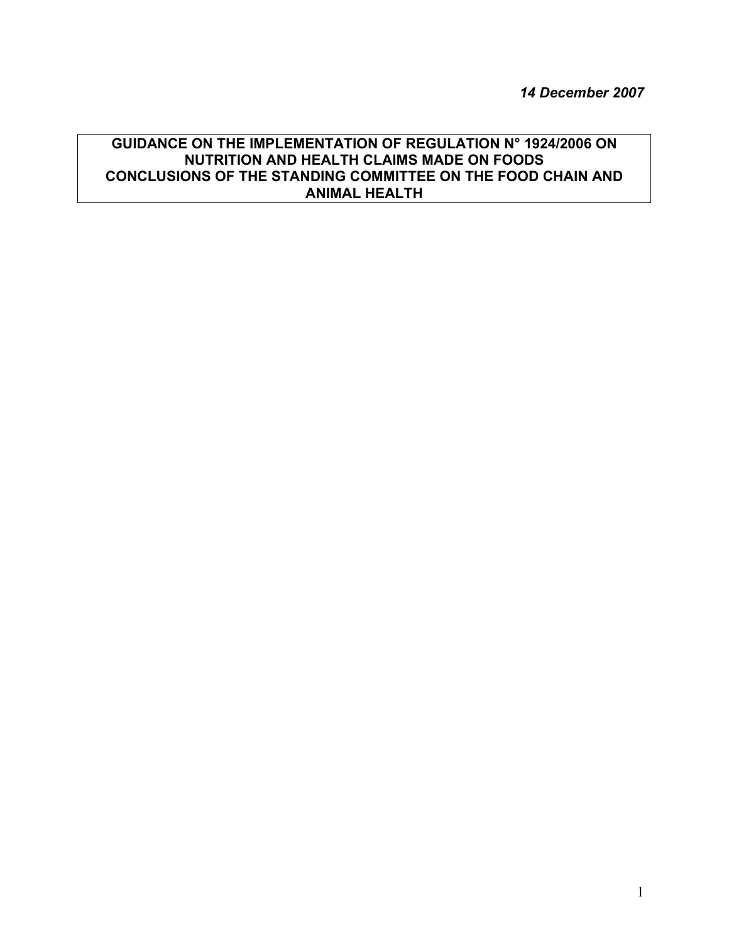*14 December 2007* 

## **GUIDANCE ON THE IMPLEMENTATION OF REGULATION N° 1924/2006 ON NUTRITION AND HEALTH CLAIMS MADE ON FOODS CONCLUSIONS OF THE STANDING COMMITTEE ON THE FOOD CHAIN AND ANIMAL HEALTH**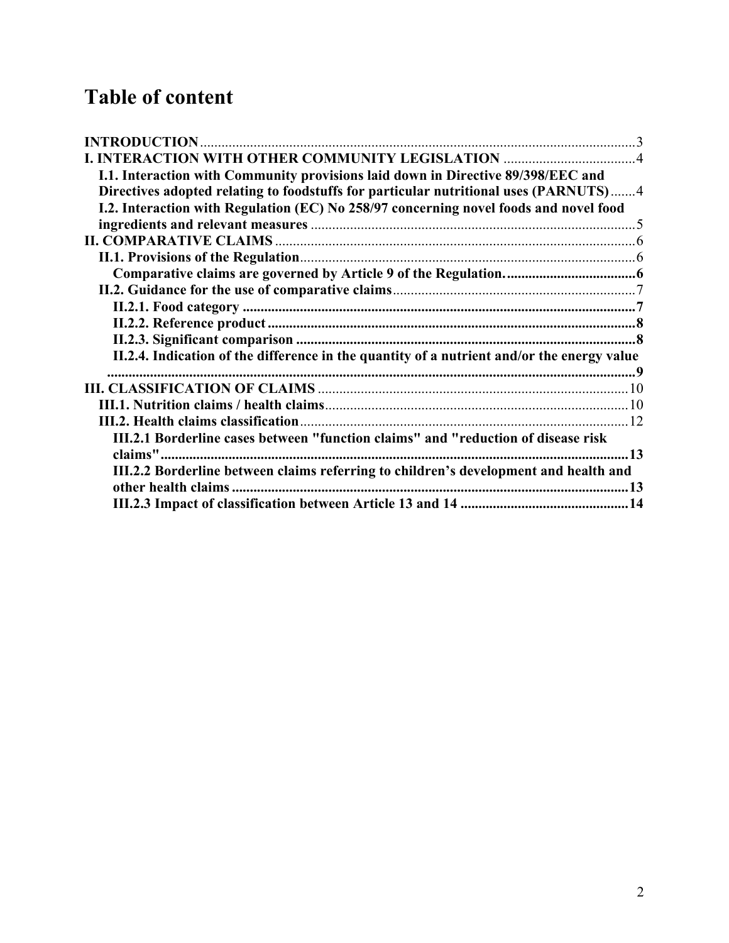# **Table of content**

| <b>I. INTERACTION WITH OTHER COMMUNITY LEGISLATION </b> 4                                                                                                                |    |
|--------------------------------------------------------------------------------------------------------------------------------------------------------------------------|----|
| I.1. Interaction with Community provisions laid down in Directive 89/398/EEC and<br>Directives adopted relating to foodstuffs for particular nutritional uses (PARNUTS)4 |    |
|                                                                                                                                                                          |    |
|                                                                                                                                                                          |    |
|                                                                                                                                                                          |    |
|                                                                                                                                                                          |    |
|                                                                                                                                                                          |    |
|                                                                                                                                                                          |    |
|                                                                                                                                                                          |    |
|                                                                                                                                                                          |    |
|                                                                                                                                                                          |    |
| II.2.4. Indication of the difference in the quantity of a nutrient and/or the energy value                                                                               |    |
|                                                                                                                                                                          |    |
|                                                                                                                                                                          |    |
|                                                                                                                                                                          |    |
|                                                                                                                                                                          |    |
| III.2.1 Borderline cases between "function claims" and "reduction of disease risk                                                                                        |    |
|                                                                                                                                                                          | 13 |
| III.2.2 Borderline between claims referring to children's development and health and                                                                                     |    |
|                                                                                                                                                                          |    |
|                                                                                                                                                                          |    |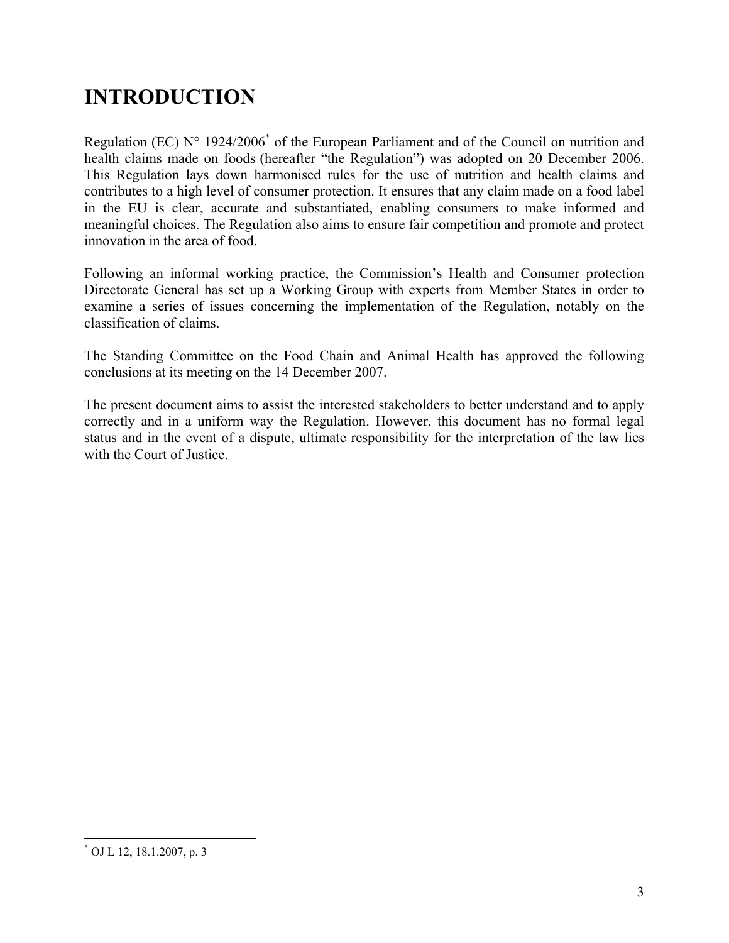# **INTRODUCTION**

Regulation (EC)  $N^{\circ}$  1924/2006<sup>\*</sup> of the European Parliament and of the Council on nutrition and health claims made on foods (hereafter "the Regulation") was adopted on 20 December 2006. This Regulation lays down harmonised rules for the use of nutrition and health claims and contributes to a high level of consumer protection. It ensures that any claim made on a food label in the EU is clear, accurate and substantiated, enabling consumers to make informed and meaningful choices. The Regulation also aims to ensure fair competition and promote and protect innovation in the area of food.

Following an informal working practice, the Commission's Health and Consumer protection Directorate General has set up a Working Group with experts from Member States in order to examine a series of issues concerning the implementation of the Regulation, notably on the classification of claims.

The Standing Committee on the Food Chain and Animal Health has approved the following conclusions at its meeting on the 14 December 2007.

The present document aims to assist the interested stakeholders to better understand and to apply correctly and in a uniform way the Regulation. However, this document has no formal legal status and in the event of a dispute, ultimate responsibility for the interpretation of the law lies with the Court of Justice.

 \* OJ L 12, 18.1.2007, p. 3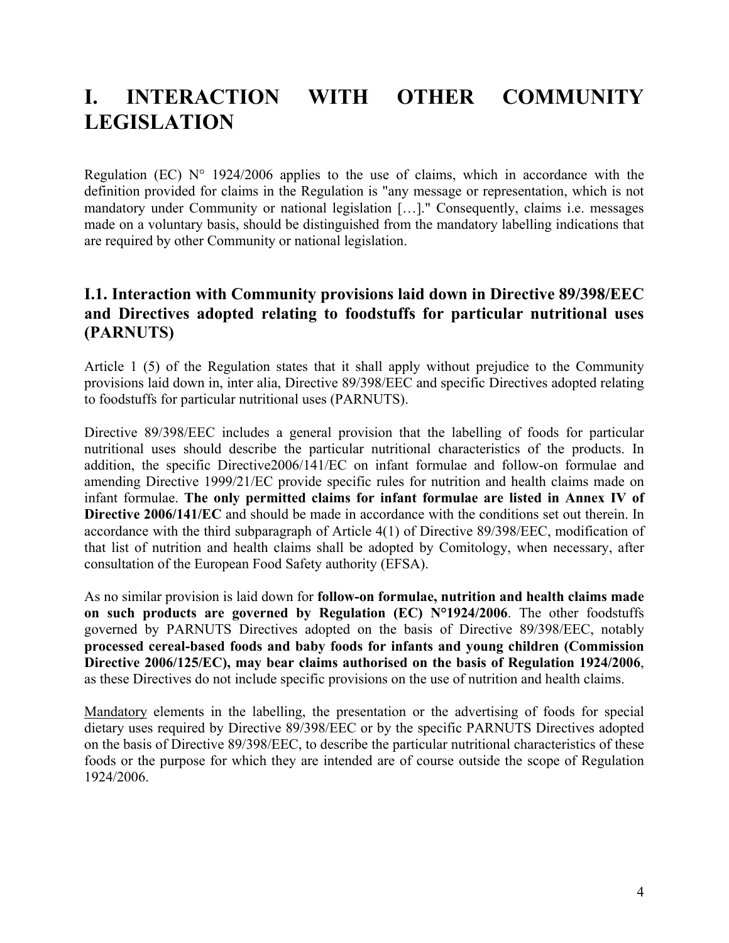# **I. INTERACTION WITH OTHER COMMUNITY LEGISLATION**

Regulation (EC)  $N^{\circ}$  1924/2006 applies to the use of claims, which in accordance with the definition provided for claims in the Regulation is "any message or representation, which is not mandatory under Community or national legislation […]." Consequently, claims i.e. messages made on a voluntary basis, should be distinguished from the mandatory labelling indications that are required by other Community or national legislation.

# **I.1. Interaction with Community provisions laid down in Directive 89/398/EEC and Directives adopted relating to foodstuffs for particular nutritional uses (PARNUTS)**

Article 1 (5) of the Regulation states that it shall apply without prejudice to the Community provisions laid down in, inter alia, Directive 89/398/EEC and specific Directives adopted relating to foodstuffs for particular nutritional uses (PARNUTS).

Directive 89/398/EEC includes a general provision that the labelling of foods for particular nutritional uses should describe the particular nutritional characteristics of the products. In addition, the specific Directive2006/141/EC on infant formulae and follow-on formulae and amending Directive 1999/21/EC provide specific rules for nutrition and health claims made on infant formulae. **The only permitted claims for infant formulae are listed in Annex IV of Directive 2006/141/EC** and should be made in accordance with the conditions set out therein. In accordance with the third subparagraph of Article 4(1) of Directive 89/398/EEC, modification of that list of nutrition and health claims shall be adopted by Comitology, when necessary, after consultation of the European Food Safety authority (EFSA).

As no similar provision is laid down for **follow-on formulae, nutrition and health claims made on such products are governed by Regulation (EC) N°1924/2006**. The other foodstuffs governed by PARNUTS Directives adopted on the basis of Directive 89/398/EEC, notably **processed cereal-based foods and baby foods for infants and young children (Commission Directive 2006/125/EC), may bear claims authorised on the basis of Regulation 1924/2006**, as these Directives do not include specific provisions on the use of nutrition and health claims.

Mandatory elements in the labelling, the presentation or the advertising of foods for special dietary uses required by Directive 89/398/EEC or by the specific PARNUTS Directives adopted on the basis of Directive 89/398/EEC, to describe the particular nutritional characteristics of these foods or the purpose for which they are intended are of course outside the scope of Regulation 1924/2006.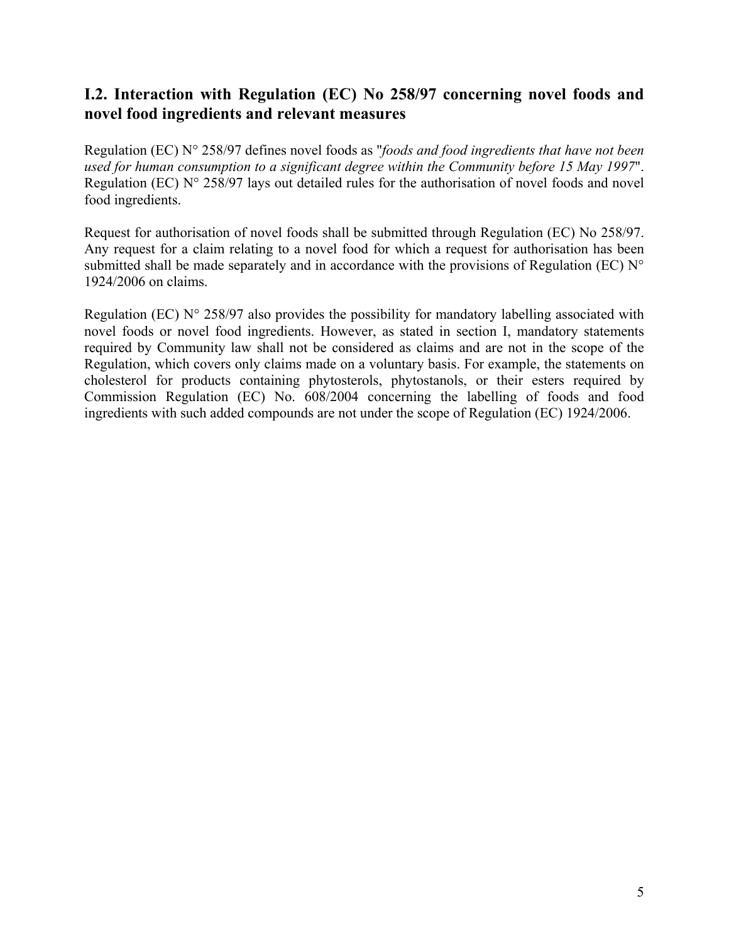## **I.2. Interaction with Regulation (EC) No 258/97 concerning novel foods and novel food ingredients and relevant measures**

Regulation (EC) N° 258/97 defines novel foods as "*foods and food ingredients that have not been used for human consumption to a significant degree within the Community before 15 May 1997*". Regulation (EC) N° 258/97 lays out detailed rules for the authorisation of novel foods and novel food ingredients.

Request for authorisation of novel foods shall be submitted through Regulation (EC) No 258/97. Any request for a claim relating to a novel food for which a request for authorisation has been submitted shall be made separately and in accordance with the provisions of Regulation (EC)  $N^{\circ}$ 1924/2006 on claims.

Regulation (EC)  $N^{\circ}$  258/97 also provides the possibility for mandatory labelling associated with novel foods or novel food ingredients. However, as stated in section I, mandatory statements required by Community law shall not be considered as claims and are not in the scope of the Regulation, which covers only claims made on a voluntary basis. For example, the statements on cholesterol for products containing phytosterols, phytostanols, or their esters required by Commission Regulation (EC) No. 608/2004 concerning the labelling of foods and food ingredients with such added compounds are not under the scope of Regulation (EC) 1924/2006.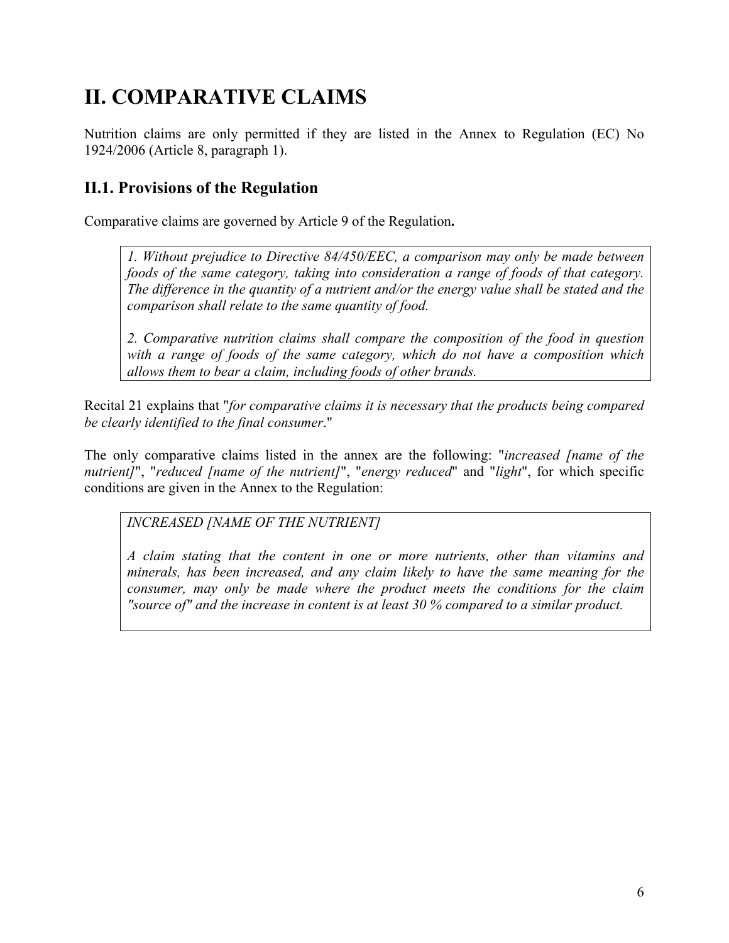# **II. COMPARATIVE CLAIMS**

Nutrition claims are only permitted if they are listed in the Annex to Regulation (EC) No 1924/2006 (Article 8, paragraph 1).

# **II.1. Provisions of the Regulation**

Comparative claims are governed by Article 9 of the Regulation**.** 

*1. Without prejudice to Directive 84/450/EEC, a comparison may only be made between foods of the same category, taking into consideration a range of foods of that category. The difference in the quantity of a nutrient and/or the energy value shall be stated and the comparison shall relate to the same quantity of food.* 

*2. Comparative nutrition claims shall compare the composition of the food in question with a range of foods of the same category, which do not have a composition which allows them to bear a claim, including foods of other brands.* 

Recital 21 explains that "*for comparative claims it is necessary that the products being compared be clearly identified to the final consumer*."

The only comparative claims listed in the annex are the following: "*increased [name of the nutrient]*", "*reduced [name of the nutrient]*", "*energy reduced*" and "*light*", for which specific conditions are given in the Annex to the Regulation:

*INCREASED [NAME OF THE NUTRIENT]* 

*A claim stating that the content in one or more nutrients, other than vitamins and minerals, has been increased, and any claim likely to have the same meaning for the consumer, may only be made where the product meets the conditions for the claim "source of" and the increase in content is at least 30 % compared to a similar product.*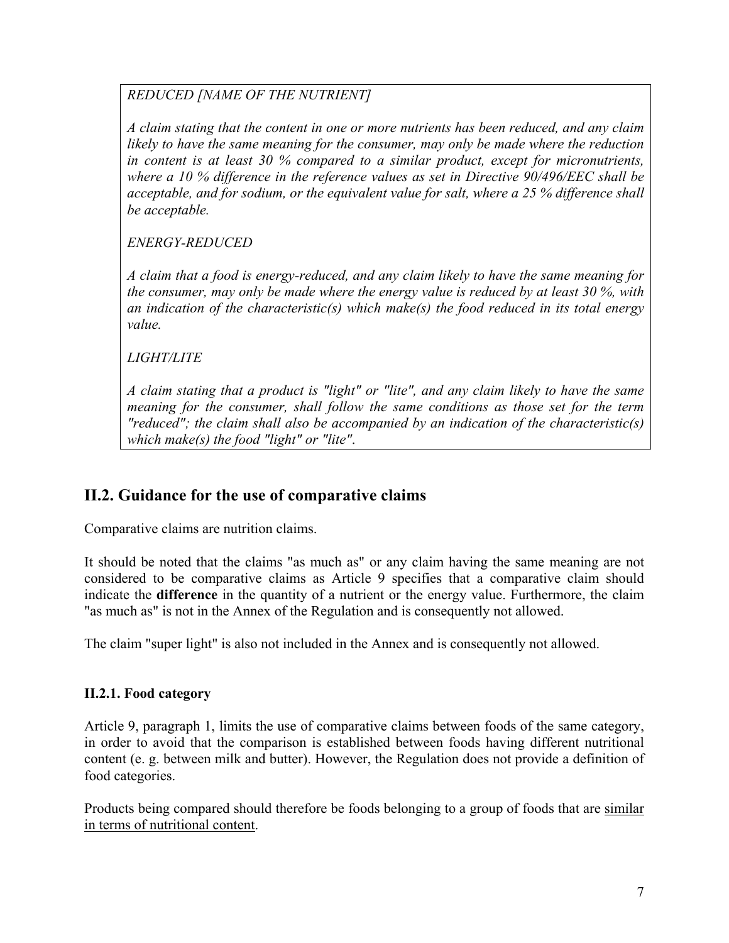*REDUCED [NAME OF THE NUTRIENT]* 

*A claim stating that the content in one or more nutrients has been reduced, and any claim likely to have the same meaning for the consumer, may only be made where the reduction in content is at least 30 % compared to a similar product, except for micronutrients, where a 10 % difference in the reference values as set in Directive 90/496/EEC shall be acceptable, and for sodium, or the equivalent value for salt, where a 25 % difference shall be acceptable.* 

*ENERGY-REDUCED* 

*A claim that a food is energy-reduced, and any claim likely to have the same meaning for the consumer, may only be made where the energy value is reduced by at least 30 %, with an indication of the characteristic(s) which make(s) the food reduced in its total energy value.* 

*LIGHT/LITE* 

*A claim stating that a product is "light" or "lite", and any claim likely to have the same meaning for the consumer, shall follow the same conditions as those set for the term "reduced"; the claim shall also be accompanied by an indication of the characteristic(s) which make(s) the food "light" or "lite"*.

# **II.2. Guidance for the use of comparative claims**

Comparative claims are nutrition claims.

It should be noted that the claims "as much as" or any claim having the same meaning are not considered to be comparative claims as Article 9 specifies that a comparative claim should indicate the **difference** in the quantity of a nutrient or the energy value. Furthermore, the claim "as much as" is not in the Annex of the Regulation and is consequently not allowed.

The claim "super light" is also not included in the Annex and is consequently not allowed.

## **II.2.1. Food category**

Article 9, paragraph 1, limits the use of comparative claims between foods of the same category, in order to avoid that the comparison is established between foods having different nutritional content (e. g. between milk and butter). However, the Regulation does not provide a definition of food categories.

Products being compared should therefore be foods belonging to a group of foods that are similar in terms of nutritional content.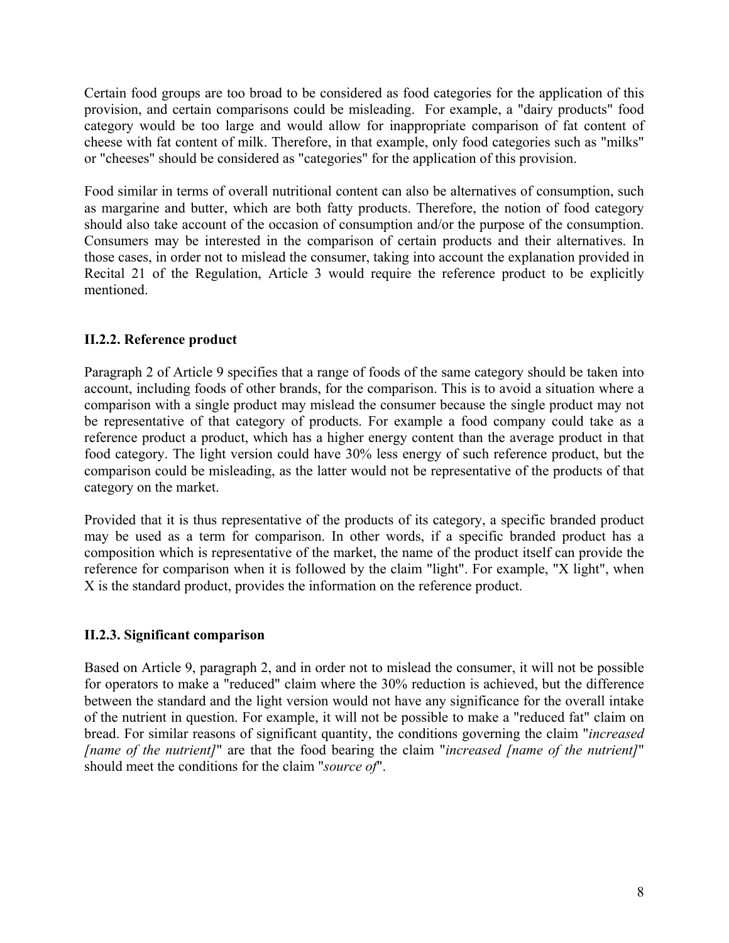Certain food groups are too broad to be considered as food categories for the application of this provision, and certain comparisons could be misleading. For example, a "dairy products" food category would be too large and would allow for inappropriate comparison of fat content of cheese with fat content of milk. Therefore, in that example, only food categories such as "milks" or "cheeses" should be considered as "categories" for the application of this provision.

Food similar in terms of overall nutritional content can also be alternatives of consumption, such as margarine and butter, which are both fatty products. Therefore, the notion of food category should also take account of the occasion of consumption and/or the purpose of the consumption. Consumers may be interested in the comparison of certain products and their alternatives. In those cases, in order not to mislead the consumer, taking into account the explanation provided in Recital 21 of the Regulation, Article 3 would require the reference product to be explicitly mentioned.

## **II.2.2. Reference product**

Paragraph 2 of Article 9 specifies that a range of foods of the same category should be taken into account, including foods of other brands, for the comparison. This is to avoid a situation where a comparison with a single product may mislead the consumer because the single product may not be representative of that category of products. For example a food company could take as a reference product a product, which has a higher energy content than the average product in that food category. The light version could have 30% less energy of such reference product, but the comparison could be misleading, as the latter would not be representative of the products of that category on the market.

Provided that it is thus representative of the products of its category, a specific branded product may be used as a term for comparison. In other words, if a specific branded product has a composition which is representative of the market, the name of the product itself can provide the reference for comparison when it is followed by the claim "light". For example, "X light", when X is the standard product, provides the information on the reference product.

## **II.2.3. Significant comparison**

Based on Article 9, paragraph 2, and in order not to mislead the consumer, it will not be possible for operators to make a "reduced" claim where the 30% reduction is achieved, but the difference between the standard and the light version would not have any significance for the overall intake of the nutrient in question. For example, it will not be possible to make a "reduced fat" claim on bread. For similar reasons of significant quantity, the conditions governing the claim "*increased [name of the nutrient]*" are that the food bearing the claim "*increased [name of the nutrient]*" should meet the conditions for the claim "*source of*".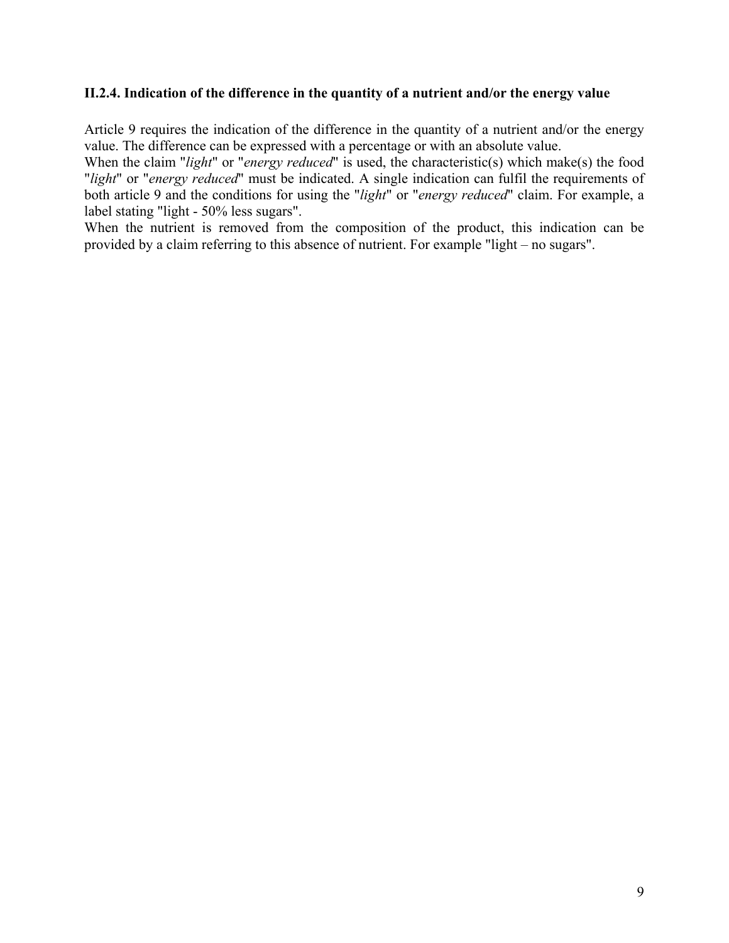#### **II.2.4. Indication of the difference in the quantity of a nutrient and/or the energy value**

Article 9 requires the indication of the difference in the quantity of a nutrient and/or the energy value. The difference can be expressed with a percentage or with an absolute value.

When the claim "*light*" or "*energy reduced*" is used, the characteristic(s) which make(s) the food "*light*" or "*energy reduced*" must be indicated. A single indication can fulfil the requirements of both article 9 and the conditions for using the "*light*" or "*energy reduced*" claim. For example, a label stating "light - 50% less sugars".

When the nutrient is removed from the composition of the product, this indication can be provided by a claim referring to this absence of nutrient. For example "light – no sugars".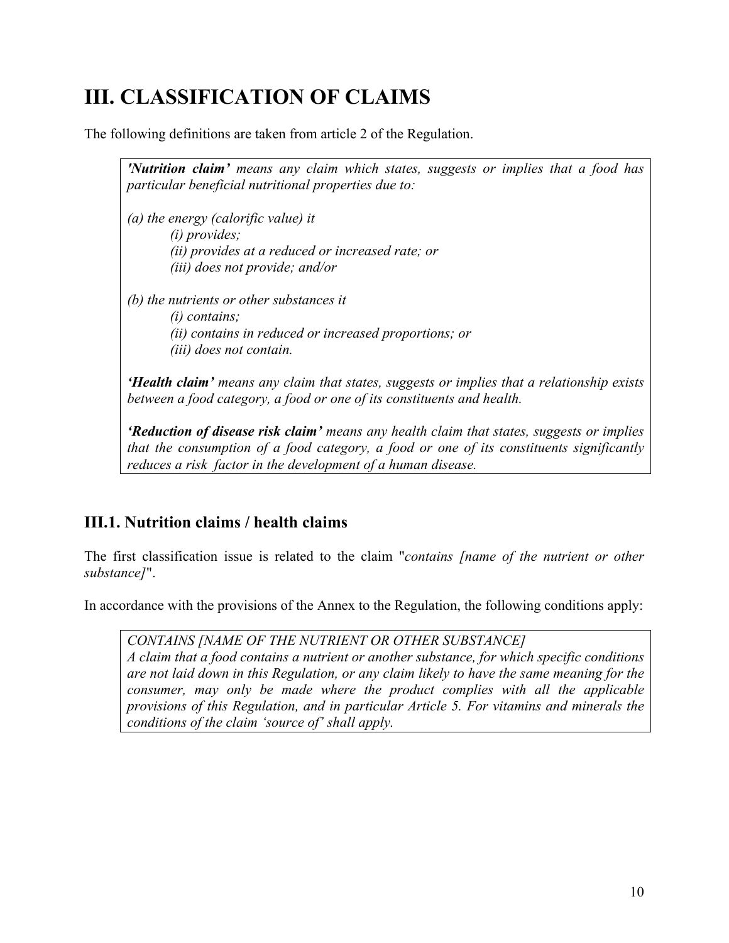# **III. CLASSIFICATION OF CLAIMS**

The following definitions are taken from article 2 of the Regulation.

*'Nutrition claim' means any claim which states, suggests or implies that a food has particular beneficial nutritional properties due to: (a) the energy (calorific value) it (i) provides; (ii) provides at a reduced or increased rate; or (iii) does not provide; and/or (b) the nutrients or other substances it (i) contains; (ii) contains in reduced or increased proportions; or (iii) does not contain. 'Health claim' means any claim that states, suggests or implies that a relationship exists between a food category, a food or one of its constituents and health.* 

*'Reduction of disease risk claim' means any health claim that states, suggests or implies that the consumption of a food category, a food or one of its constituents significantly reduces a risk factor in the development of a human disease.* 

# **III.1. Nutrition claims / health claims**

The first classification issue is related to the claim "*contains [name of the nutrient or other substance]*".

In accordance with the provisions of the Annex to the Regulation, the following conditions apply:

*CONTAINS [NAME OF THE NUTRIENT OR OTHER SUBSTANCE] A claim that a food contains a nutrient or another substance, for which specific conditions are not laid down in this Regulation, or any claim likely to have the same meaning for the consumer, may only be made where the product complies with all the applicable provisions of this Regulation, and in particular Article 5. For vitamins and minerals the conditions of the claim 'source of' shall apply.*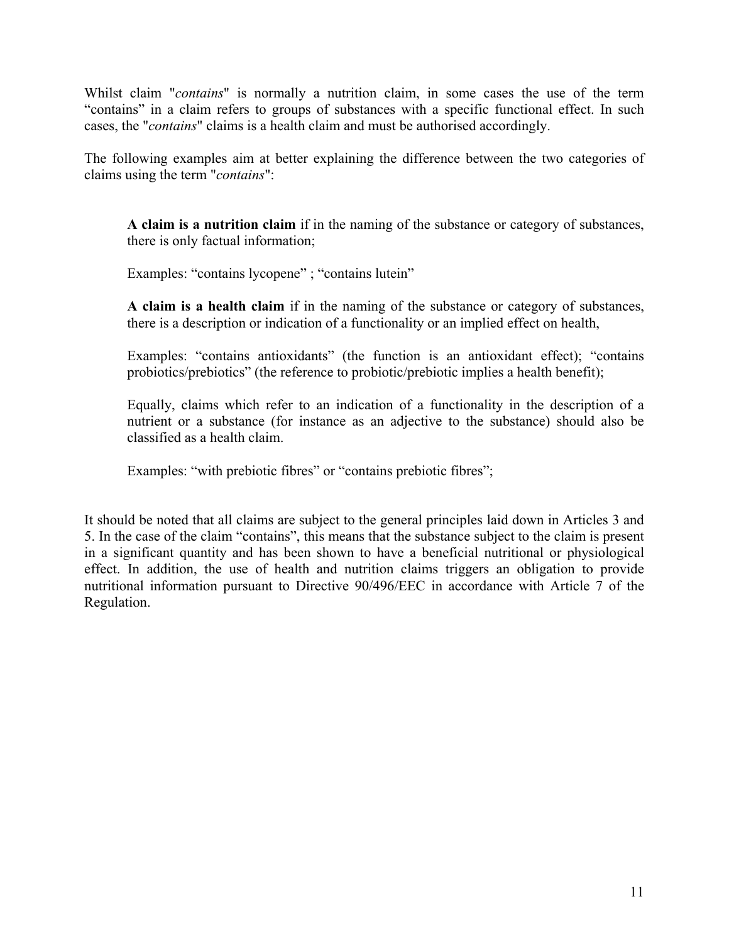Whilst claim "*contains*" is normally a nutrition claim, in some cases the use of the term "contains" in a claim refers to groups of substances with a specific functional effect. In such cases, the "*contains*" claims is a health claim and must be authorised accordingly.

The following examples aim at better explaining the difference between the two categories of claims using the term "*contains*":

**A claim is a nutrition claim** if in the naming of the substance or category of substances, there is only factual information;

Examples: "contains lycopene" ; "contains lutein"

**A claim is a health claim** if in the naming of the substance or category of substances, there is a description or indication of a functionality or an implied effect on health,

Examples: "contains antioxidants" (the function is an antioxidant effect); "contains probiotics/prebiotics" (the reference to probiotic/prebiotic implies a health benefit);

Equally, claims which refer to an indication of a functionality in the description of a nutrient or a substance (for instance as an adjective to the substance) should also be classified as a health claim.

Examples: "with prebiotic fibres" or "contains prebiotic fibres";

It should be noted that all claims are subject to the general principles laid down in Articles 3 and 5. In the case of the claim "contains", this means that the substance subject to the claim is present in a significant quantity and has been shown to have a beneficial nutritional or physiological effect. In addition, the use of health and nutrition claims triggers an obligation to provide nutritional information pursuant to Directive 90/496/EEC in accordance with Article 7 of the Regulation.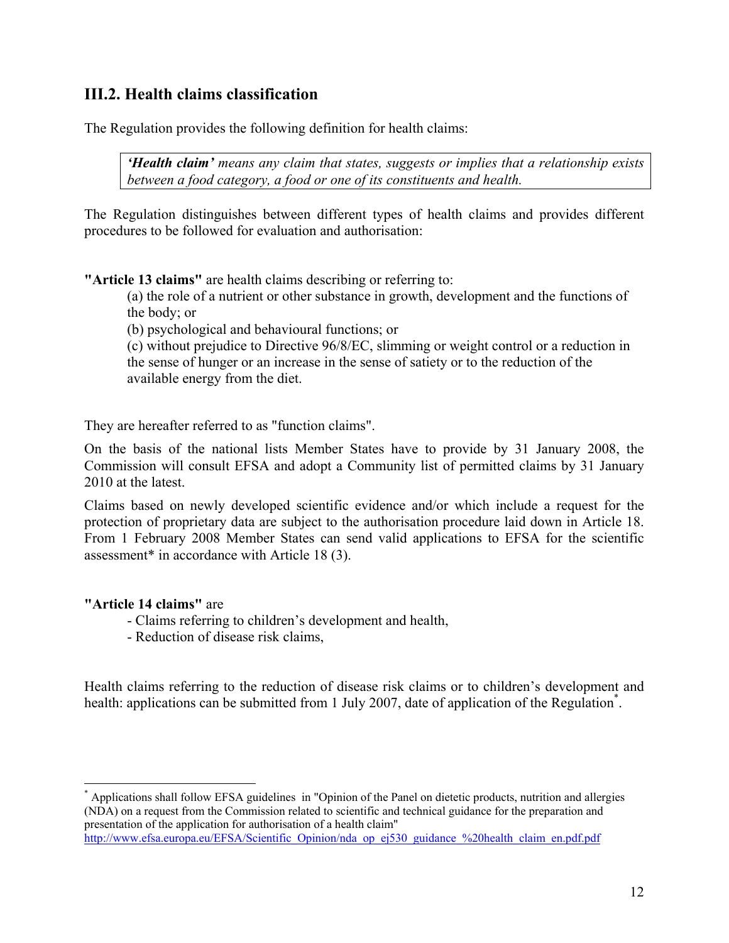## **III.2. Health claims classification**

The Regulation provides the following definition for health claims:

*'Health claim' means any claim that states, suggests or implies that a relationship exists between a food category, a food or one of its constituents and health.* 

The Regulation distinguishes between different types of health claims and provides different procedures to be followed for evaluation and authorisation:

**"Article 13 claims"** are health claims describing or referring to:

(a) the role of a nutrient or other substance in growth, development and the functions of the body; or

(b) psychological and behavioural functions; or

(c) without prejudice to Directive 96/8/EC, slimming or weight control or a reduction in the sense of hunger or an increase in the sense of satiety or to the reduction of the available energy from the diet.

They are hereafter referred to as "function claims".

On the basis of the national lists Member States have to provide by 31 January 2008, the Commission will consult EFSA and adopt a Community list of permitted claims by 31 January 2010 at the latest.

Claims based on newly developed scientific evidence and/or which include a request for the protection of proprietary data are subject to the authorisation procedure laid down in Article 18. From 1 February 2008 Member States can send valid applications to EFSA for the scientific assessment\* in accordance with Article 18 (3).

## **"Article 14 claims"** are

1

- Claims referring to children's development and health,
- Reduction of disease risk claims,

Health claims referring to the reduction of disease risk claims or to children's development and health: applications can be submitted from 1 July 2007, date of application of the Regulation<sup>\*</sup>.

\* Applications shall follow EFSA guidelines in "Opinion of the Panel on dietetic products, nutrition and allergies (NDA) on a request from the Commission related to scientific and technical guidance for the preparation and presentation of the application for authorisation of a health claim"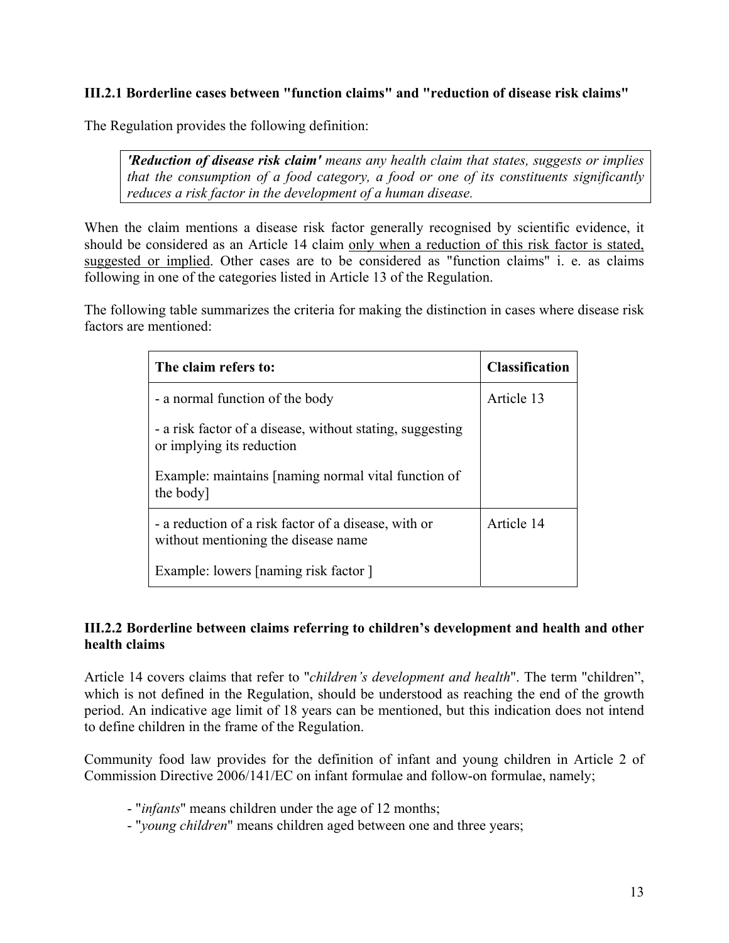## **III.2.1 Borderline cases between "function claims" and "reduction of disease risk claims"**

The Regulation provides the following definition:

*'Reduction of disease risk claim' means any health claim that states, suggests or implies that the consumption of a food category, a food or one of its constituents significantly reduces a risk factor in the development of a human disease.* 

When the claim mentions a disease risk factor generally recognised by scientific evidence, it should be considered as an Article 14 claim only when a reduction of this risk factor is stated, suggested or implied. Other cases are to be considered as "function claims" i. e. as claims following in one of the categories listed in Article 13 of the Regulation.

The following table summarizes the criteria for making the distinction in cases where disease risk factors are mentioned:

| The claim refers to:                                                                        | <b>Classification</b> |
|---------------------------------------------------------------------------------------------|-----------------------|
| - a normal function of the body                                                             | Article 13            |
| - a risk factor of a disease, without stating, suggesting<br>or implying its reduction      |                       |
| Example: maintains [naming normal vital function of<br>the body]                            |                       |
| - a reduction of a risk factor of a disease, with or<br>without mentioning the disease name | Article 14            |
| Example: lowers [naming risk factor]                                                        |                       |

## **III.2.2 Borderline between claims referring to children's development and health and other health claims**

Article 14 covers claims that refer to "*children's development and health*". The term "children", which is not defined in the Regulation, should be understood as reaching the end of the growth period. An indicative age limit of 18 years can be mentioned, but this indication does not intend to define children in the frame of the Regulation.

Community food law provides for the definition of infant and young children in Article 2 of Commission Directive 2006/141/EC on infant formulae and follow-on formulae, namely;

- "*infants*" means children under the age of 12 months;
- "*young children*" means children aged between one and three years;